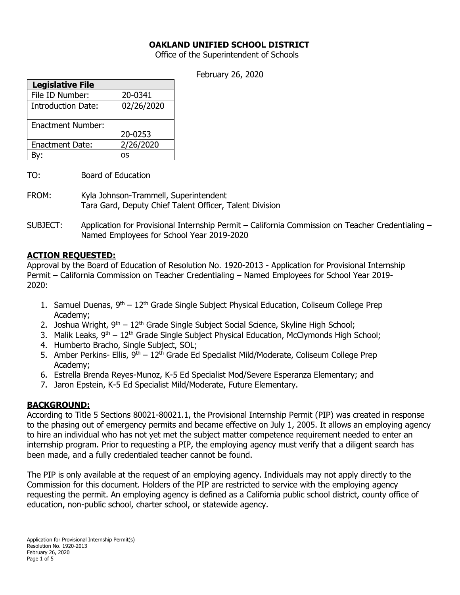#### **OAKLAND UNIFIED SCHOOL DISTRICT**

Office of the Superintendent of Schools

February 26, 2020

| <b>Legislative File</b>  |            |
|--------------------------|------------|
| File ID Number:          | 20-0341    |
| Introduction Date:       | 02/26/2020 |
| <b>Enactment Number:</b> |            |
|                          | 20-0253    |
| <b>Enactment Date:</b>   | 2/26/2020  |
|                          | os         |

- TO: Board of Education
- FROM: Kyla Johnson-Trammell, Superintendent Tara Gard, Deputy Chief Talent Officer, Talent Division
- SUBJECT: Application for Provisional Internship Permit California Commission on Teacher Credentialing Named Employees for School Year 2019-2020

#### **ACTION REQUESTED:**

Approval by the Board of Education of Resolution No. 1920-2013 - Application for Provisional Internship Permit – California Commission on Teacher Credentialing – Named Employees for School Year 2019- 2020:

- 1. Samuel Duenas,  $9<sup>th</sup> 12<sup>th</sup>$  Grade Single Subject Physical Education, Coliseum College Prep Academy;
- 2. Joshua Wright,  $9<sup>th</sup> 12<sup>th</sup>$  Grade Single Subject Social Science, Skyline High School;
- 3. Malik Leaks, 9<sup>th</sup> 12<sup>th</sup> Grade Single Subject Physical Education, McClymonds High School;
- 4. Humberto Bracho, Single Subject, SOL;
- 5. Amber Perkins- Ellis,  $9<sup>th</sup> 12<sup>th</sup>$  Grade Ed Specialist Mild/Moderate, Coliseum College Prep Academy;
- 6. Estrella Brenda Reyes-Munoz, K-5 Ed Specialist Mod/Severe Esperanza Elementary; and
- 7. Jaron Epstein, K-5 Ed Specialist Mild/Moderate, Future Elementary.

## **BACKGROUND:**

According to Title 5 Sections 80021-80021.1, the Provisional Internship Permit (PIP) was created in response to the phasing out of emergency permits and became effective on July 1, 2005. It allows an employing agency to hire an individual who has not yet met the subject matter competence requirement needed to enter an internship program. Prior to requesting a PIP, the employing agency must verify that a diligent search has been made, and a fully credentialed teacher cannot be found.

The PIP is only available at the request of an employing agency. Individuals may not apply directly to the Commission for this document. Holders of the PIP are restricted to service with the employing agency requesting the permit. An employing agency is defined as a California public school district, county office of education, non-public school, charter school, or statewide agency.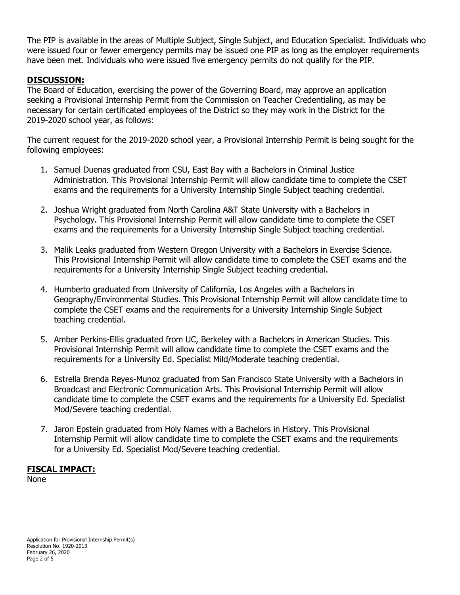The PIP is available in the areas of Multiple Subject, Single Subject, and Education Specialist. Individuals who were issued four or fewer emergency permits may be issued one PIP as long as the employer requirements have been met. Individuals who were issued five emergency permits do not qualify for the PIP.

## **DISCUSSION:**

The Board of Education, exercising the power of the Governing Board, may approve an application seeking a Provisional Internship Permit from the Commission on Teacher Credentialing, as may be necessary for certain certificated employees of the District so they may work in the District for the 2019-2020 school year, as follows:

The current request for the 2019-2020 school year, a Provisional Internship Permit is being sought for the following employees:

- 1. Samuel Duenas graduated from CSU, East Bay with a Bachelors in Criminal Justice Administration. This Provisional Internship Permit will allow candidate time to complete the CSET exams and the requirements for a University Internship Single Subject teaching credential.
- 2. Joshua Wright graduated from North Carolina A&T State University with a Bachelors in Psychology. This Provisional Internship Permit will allow candidate time to complete the CSET exams and the requirements for a University Internship Single Subject teaching credential.
- 3. Malik Leaks graduated from Western Oregon University with a Bachelors in Exercise Science. This Provisional Internship Permit will allow candidate time to complete the CSET exams and the requirements for a University Internship Single Subject teaching credential.
- 4. Humberto graduated from University of California, Los Angeles with a Bachelors in Geography/Environmental Studies. This Provisional Internship Permit will allow candidate time to complete the CSET exams and the requirements for a University Internship Single Subject teaching credential.
- 5. Amber Perkins-Ellis graduated from UC, Berkeley with a Bachelors in American Studies. This Provisional Internship Permit will allow candidate time to complete the CSET exams and the requirements for a University Ed. Specialist Mild/Moderate teaching credential.
- 6. Estrella Brenda Reyes-Munoz graduated from San Francisco State University with a Bachelors in Broadcast and Electronic Communication Arts. This Provisional Internship Permit will allow candidate time to complete the CSET exams and the requirements for a University Ed. Specialist Mod/Severe teaching credential.
- 7. Jaron Epstein graduated from Holy Names with a Bachelors in History. This Provisional Internship Permit will allow candidate time to complete the CSET exams and the requirements for a University Ed. Specialist Mod/Severe teaching credential.

## **FISCAL IMPACT:**

None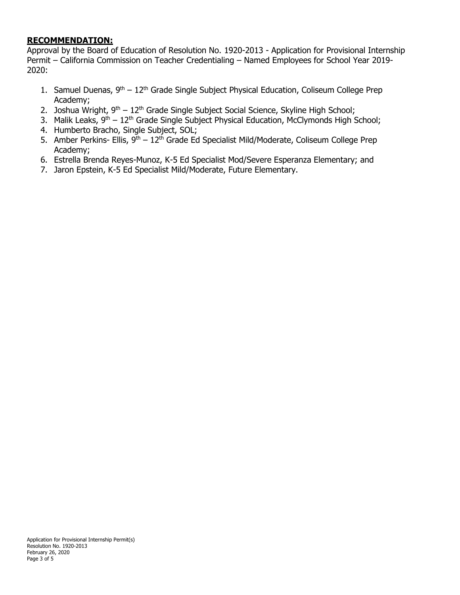# **RECOMMENDATION:**

Approval by the Board of Education of Resolution No. 1920-2013 - Application for Provisional Internship Permit – California Commission on Teacher Credentialing – Named Employees for School Year 2019- 2020:

- 1. Samuel Duenas,  $9<sup>th</sup> 12<sup>th</sup>$  Grade Single Subject Physical Education, Coliseum College Prep Academy;
- 2. Joshua Wright,  $9<sup>th</sup> 12<sup>th</sup>$  Grade Single Subject Social Science, Skyline High School;
- 3. Malik Leaks, 9<sup>th</sup> 12<sup>th</sup> Grade Single Subject Physical Education, McClymonds High School;
- 4. Humberto Bracho, Single Subject, SOL;
- 5. Amber Perkins- Ellis,  $9<sup>th</sup> 12<sup>th</sup>$  Grade Ed Specialist Mild/Moderate, Coliseum College Prep Academy;
- 6. Estrella Brenda Reyes-Munoz, K-5 Ed Specialist Mod/Severe Esperanza Elementary; and
- 7. Jaron Epstein, K-5 Ed Specialist Mild/Moderate, Future Elementary.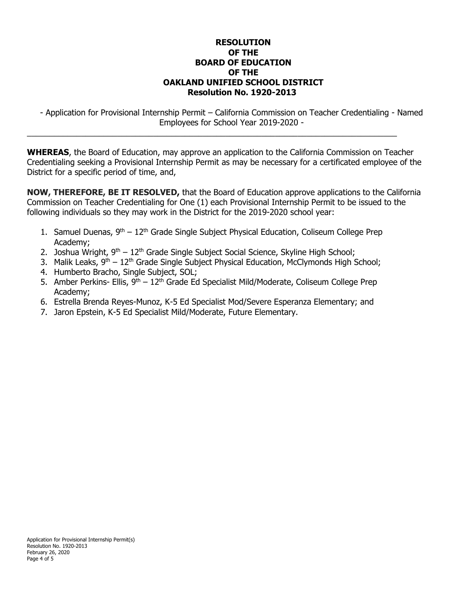#### **RESOLUTION OF THE BOARD OF EDUCATION OF THE OAKLAND UNIFIED SCHOOL DISTRICT Resolution No. 1920-2013**

- Application for Provisional Internship Permit – California Commission on Teacher Credentialing - Named Employees for School Year 2019-2020 -

**WHEREAS**, the Board of Education, may approve an application to the California Commission on Teacher Credentialing seeking a Provisional Internship Permit as may be necessary for a certificated employee of the District for a specific period of time, and,

\_\_\_\_\_\_\_\_\_\_\_\_\_\_\_\_\_\_\_\_\_\_\_\_\_\_\_\_\_\_\_\_\_\_\_\_\_\_\_\_\_\_\_\_\_\_\_\_\_\_\_\_\_\_\_\_\_\_\_\_\_\_\_\_\_\_\_\_\_\_\_\_\_\_\_\_\_\_\_\_\_\_

**NOW, THEREFORE, BE IT RESOLVED,** that the Board of Education approve applications to the California Commission on Teacher Credentialing for One (1) each Provisional Internship Permit to be issued to the following individuals so they may work in the District for the 2019-2020 school year:

- 1. Samuel Duenas,  $9<sup>th</sup> 12<sup>th</sup>$  Grade Single Subject Physical Education, Coliseum College Prep Academy;
- 2. Joshua Wright,  $9<sup>th</sup> 12<sup>th</sup>$  Grade Single Subject Social Science, Skyline High School;
- 3. Malik Leaks, 9<sup>th</sup> 12<sup>th</sup> Grade Single Subject Physical Education, McClymonds High School;
- 4. Humberto Bracho, Single Subject, SOL;
- 5. Amber Perkins- Ellis,  $9<sup>th</sup> 12<sup>th</sup>$  Grade Ed Specialist Mild/Moderate, Coliseum College Prep Academy;
- 6. Estrella Brenda Reyes-Munoz, K-5 Ed Specialist Mod/Severe Esperanza Elementary; and
- 7. Jaron Epstein, K-5 Ed Specialist Mild/Moderate, Future Elementary.